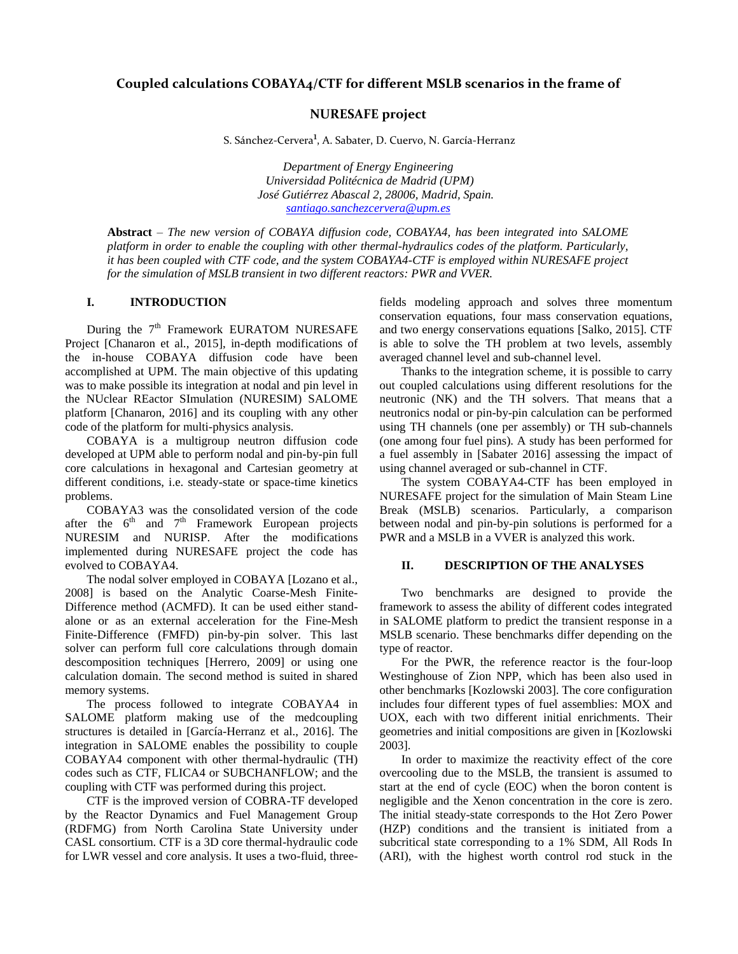# **Coupled calculations COBAYA4/CTF for different MSLB scenarios in the frame of**

# **NURESAFE project**

S. Sánchez-Cervera<sup>1</sup>, A. Sabater, D. Cuervo, N. García-Herranz

*Department of Energy Engineering Universidad Politécnica de Madrid (UPM) José Gutiérrez Abascal 2, 28006, Madrid, Spain. santiago.sanchezcervera@upm.es*

**Abstract** *– The new version of COBAYA diffusion code, COBAYA4, has been integrated into SALOME platform in order to enable the coupling with other thermal-hydraulics codes of the platform. Particularly, it has been coupled with CTF code, and the system COBAYA4-CTF is employed within NURESAFE project for the simulation of MSLB transient in two different reactors: PWR and VVER.* 

## **I. INTRODUCTION**

During the  $7<sup>th</sup>$  Framework EURATOM NURESAFE Project [Chanaron et al., 2015], in-depth modifications of the in-house COBAYA diffusion code have been accomplished at UPM. The main objective of this updating was to make possible its integration at nodal and pin level in the NUclear REactor SImulation (NURESIM) SALOME platform [Chanaron, 2016] and its coupling with any other code of the platform for multi-physics analysis.

COBAYA is a multigroup neutron diffusion code developed at UPM able to perform nodal and pin-by-pin full core calculations in hexagonal and Cartesian geometry at different conditions, i.e. steady-state or space-time kinetics problems.

COBAYA3 was the consolidated version of the code after the  $6<sup>th</sup>$  and  $7<sup>th</sup>$  Framework European projects NURESIM and NURISP. After the modifications implemented during NURESAFE project the code has evolved to COBAYA4.

The nodal solver employed in COBAYA [Lozano et al., 2008] is based on the Analytic Coarse-Mesh Finite-Difference method (ACMFD). It can be used either standalone or as an external acceleration for the Fine-Mesh Finite-Difference (FMFD) pin-by-pin solver. This last solver can perform full core calculations through domain descomposition techniques [Herrero, 2009] or using one calculation domain. The second method is suited in shared memory systems.

The process followed to integrate COBAYA4 in SALOME platform making use of the medcoupling structures is detailed in [García-Herranz et al., 2016]. The integration in SALOME enables the possibility to couple COBAYA4 component with other thermal-hydraulic (TH) codes such as CTF, FLICA4 or SUBCHANFLOW; and the coupling with CTF was performed during this project.

CTF is the improved version of COBRA-TF developed by the Reactor Dynamics and Fuel Management Group (RDFMG) from North Carolina State University under CASL consortium. CTF is a 3D core thermal-hydraulic code for LWR vessel and core analysis. It uses a two-fluid, threefields modeling approach and solves three momentum conservation equations, four mass conservation equations, and two energy conservations equations [Salko, 2015]. CTF is able to solve the TH problem at two levels, assembly averaged channel level and sub-channel level.

Thanks to the integration scheme, it is possible to carry out coupled calculations using different resolutions for the neutronic (NK) and the TH solvers. That means that a neutronics nodal or pin-by-pin calculation can be performed using TH channels (one per assembly) or TH sub-channels (one among four fuel pins). A study has been performed for a fuel assembly in [Sabater 2016] assessing the impact of using channel averaged or sub-channel in CTF.

The system COBAYA4-CTF has been employed in NURESAFE project for the simulation of Main Steam Line Break (MSLB) scenarios. Particularly, a comparison between nodal and pin-by-pin solutions is performed for a PWR and a MSLB in a VVER is analyzed this work.

### **II. DESCRIPTION OF THE ANALYSES**

Two benchmarks are designed to provide the framework to assess the ability of different codes integrated in SALOME platform to predict the transient response in a MSLB scenario. These benchmarks differ depending on the type of reactor.

For the PWR, the reference reactor is the four-loop Westinghouse of Zion NPP, which has been also used in other benchmarks [Kozlowski 2003]. The core configuration includes four different types of fuel assemblies: MOX and UOX, each with two different initial enrichments. Their geometries and initial compositions are given in [Kozlowski 2003].

In order to maximize the reactivity effect of the core overcooling due to the MSLB, the transient is assumed to start at the end of cycle (EOC) when the boron content is negligible and the Xenon concentration in the core is zero. The initial steady-state corresponds to the Hot Zero Power (HZP) conditions and the transient is initiated from a subcritical state corresponding to a 1% SDM, All Rods In (ARI), with the highest worth control rod stuck in the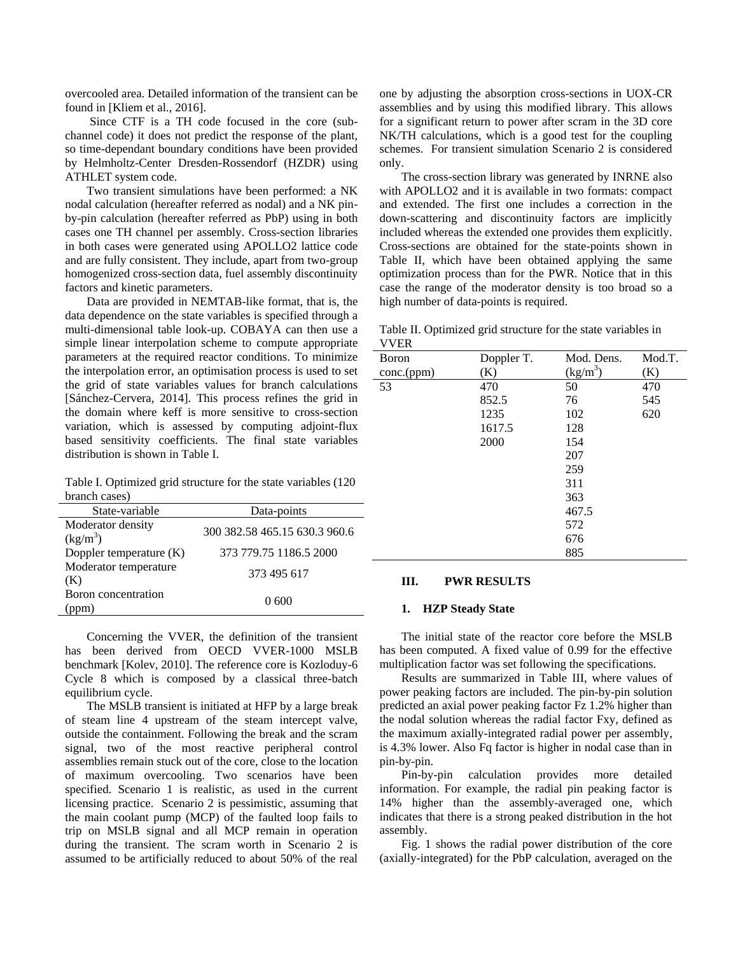overcooled area. Detailed information of the transient can be found in [Kliem et al., 2016].

 Since CTF is a TH code focused in the core (subchannel code) it does not predict the response of the plant, so time-dependant boundary conditions have been provided by Helmholtz-Center Dresden-Rossendorf (HZDR) using ATHLET system code.

Two transient simulations have been performed: a NK nodal calculation (hereafter referred as nodal) and a NK pinby-pin calculation (hereafter referred as PbP) using in both cases one TH channel per assembly. Cross-section libraries in both cases were generated using APOLLO2 lattice code and are fully consistent. They include, apart from two-group homogenized cross-section data, fuel assembly discontinuity factors and kinetic parameters.

Data are provided in NEMTAB-like format, that is, the data dependence on the state variables is specified through a multi-dimensional table look-up. COBAYA can then use a simple linear interpolation scheme to compute appropriate parameters at the required reactor conditions. To minimize the interpolation error, an optimisation process is used to set the grid of state variables values for branch calculations [Sánchez-Cervera, 2014]. This process refines the grid in the domain where keff is more sensitive to cross-section variation, which is assessed by computing adjoint-flux based sensitivity coefficients. The final state variables distribution is shown in Table I.

Table I. Optimized grid structure for the state variables (120 branch cases)

| State-variable                  | Data-points                   |
|---------------------------------|-------------------------------|
| Moderator density<br>$(kg/m^3)$ | 300 382.58 465.15 630.3 960.6 |
| Doppler temperature (K)         | 373 779.75 1186.5 2000        |
| Moderator temperature<br>(K)    | 373 495 617                   |
| Boron concentration             | 0.600                         |

Concerning the VVER, the definition of the transient has been derived from OECD VVER-1000 MSLB benchmark [Kolev, 2010]. The reference core is Kozloduy-6 Cycle 8 which is composed by a classical three-batch equilibrium cycle.

The MSLB transient is initiated at HFP by a large break of steam line 4 upstream of the steam intercept valve, outside the containment. Following the break and the scram signal, two of the most reactive peripheral control assemblies remain stuck out of the core, close to the location of maximum overcooling. Two scenarios have been specified. Scenario 1 is realistic, as used in the current licensing practice. Scenario 2 is pessimistic, assuming that the main coolant pump (MCP) of the faulted loop fails to trip on MSLB signal and all MCP remain in operation during the transient. The scram worth in Scenario 2 is assumed to be artificially reduced to about 50% of the real one by adjusting the absorption cross-sections in UOX-CR assemblies and by using this modified library. This allows for a significant return to power after scram in the 3D core NK/TH calculations, which is a good test for the coupling schemes. For transient simulation Scenario 2 is considered only.

The cross-section library was generated by INRNE also with APOLLO2 and it is available in two formats: compact and extended. The first one includes a correction in the down-scattering and discontinuity factors are implicitly included whereas the extended one provides them explicitly. Cross-sections are obtained for the state-points shown in Table II, which have been obtained applying the same optimization process than for the PWR. Notice that in this case the range of the moderator density is too broad so a high number of data-points is required.

Table II. Optimized grid structure for the state variables in VVER

| V V EK       |            |                            |        |
|--------------|------------|----------------------------|--------|
| <b>Boron</b> | Doppler T. | Mod. Dens.                 | Mod.T. |
| conc.(ppm)   | (K)        | $\frac{\text{(kg/m}^3)}{}$ | (K)    |
| 53           | 470        | 50                         | 470    |
|              | 852.5      | 76                         | 545    |
|              | 1235       | 102                        | 620    |
|              | 1617.5     | 128                        |        |
|              | 2000       | 154                        |        |
|              |            | 207                        |        |
|              |            | 259                        |        |
|              |            | 311                        |        |
|              |            | 363                        |        |
|              |            | 467.5                      |        |
|              |            | 572                        |        |
|              |            | 676                        |        |
|              |            | 885                        |        |

#### **III. PWR RESULTS**

#### **1. HZP Steady State**

The initial state of the reactor core before the MSLB has been computed. A fixed value of 0.99 for the effective multiplication factor was set following the specifications.

Results are summarized in Table III, where values of power peaking factors are included. The pin-by-pin solution predicted an axial power peaking factor Fz 1.2% higher than the nodal solution whereas the radial factor Fxy, defined as the maximum axially-integrated radial power per assembly, is 4.3% lower. Also Fq factor is higher in nodal case than in pin-by-pin.

Pin-by-pin calculation provides more detailed information. For example, the radial pin peaking factor is 14% higher than the assembly-averaged one, which indicates that there is a strong peaked distribution in the hot assembly.

Fig. 1 shows the radial power distribution of the core (axially-integrated) for the PbP calculation, averaged on the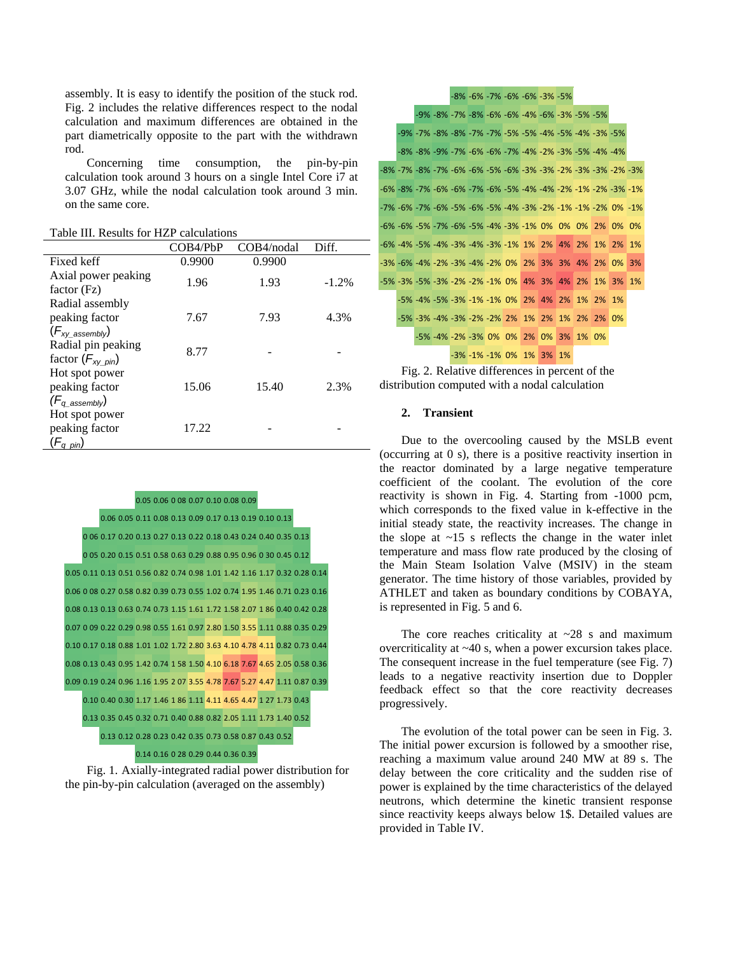assembly. It is easy to identify the position of the stuck rod. Fig. 2 includes the relative differences respect to the nodal calculation and maximum differences are obtained in the part diametrically opposite to the part with the withdrawn rod.

Concerning time consumption, the pin-by-pin calculation took around 3 hours on a single Intel Core i7 at 3.07 GHz, while the nodal calculation took around 3 min. on the same core.

Table III. Results for HZP calculations

|                                                         | COB4/PbP | COB4/nodal | Diff.    |
|---------------------------------------------------------|----------|------------|----------|
| Fixed keff                                              | 0.9900   | 0.9900     |          |
| Axial power peaking                                     | 1.96     | 1.93       | $-1.2\%$ |
| factor (Fz)<br>Radial assembly                          |          |            |          |
| peaking factor                                          | 7.67     | 7.93       | 4.3%     |
| $(F_{xy}$ assembly)                                     |          |            |          |
| Radial pin peaking                                      | 8.77     |            |          |
| factor $(F_{xy \text{ pin}})$                           |          |            |          |
| Hot spot power                                          |          |            |          |
| peaking factor                                          | 15.06    | 15.40      | 2.3%     |
| $(F_q$ assembly)                                        |          |            |          |
| Hot spot power                                          |          |            |          |
| peaking factor                                          | 17.22    |            |          |
| $(F_{q \; \: \underline{\rho} \text{\scriptsize{in}})}$ |          |            |          |



Fig. 1. Axially-integrated radial power distribution for the pin-by-pin calculation (averaged on the assembly)

|                                                     |  |  |  | -8% -6% -7% -6% -6% -3% -5%                                           |  |  |  |    |
|-----------------------------------------------------|--|--|--|-----------------------------------------------------------------------|--|--|--|----|
|                                                     |  |  |  | -9% -8% -7% -8% -6% -6% -4% -6% -3% -5% -5%                           |  |  |  |    |
|                                                     |  |  |  | -9% -7% -8% -8% -7% -7% -5% -5% -4% -5% -4% -3% -3%                   |  |  |  |    |
|                                                     |  |  |  | -8% -8% -9% -7% -6% -6% -7% -4% -2% -3% -5% -4% -4%                   |  |  |  |    |
|                                                     |  |  |  | -8% -7% -8% -7% -6% -6% -5% -6% -3% -3% -2% -3% -3% -2% -3%           |  |  |  |    |
|                                                     |  |  |  | -6% -8% -7% -6% -6% -7% -6% -5% -4% -4% -2% -1% -2% -3% -1%           |  |  |  |    |
|                                                     |  |  |  | -7% -6% -7% -6% -5% -6% -5% -4% -3% -2% -1% -1% -2% 0% -1%            |  |  |  |    |
|                                                     |  |  |  | -6% -6% -5% -7% -6% -5% -4% -3% -1% 0% 0% 0% 2% 0% 0%                 |  |  |  |    |
|                                                     |  |  |  | -6% -4% -5% -4% -3% -4% -3% -1% 1% 2% 4% 2% 1% 2% 1%                  |  |  |  |    |
|                                                     |  |  |  | $-3\%$ $-6\%$ $-4\%$ $-2\%$ $-3\%$ $-4\%$ $-2\%$ 0% 2% 3% 3% 4% 2% 0% |  |  |  | 3% |
| -5% -3% -5% -3% -2% -2% -1% 0% 4% 3% 4% 2% 1% 3% 1% |  |  |  |                                                                       |  |  |  |    |
|                                                     |  |  |  | -5% -4% -5% -3% -1% -1% 0% 2% 4% 2% 1% 2% 1%                          |  |  |  |    |
|                                                     |  |  |  | -5% -3% -4% -3% -2% -2% 2% 1% 2% 1% 2% 2% 0%                          |  |  |  |    |
|                                                     |  |  |  | -5% -4% -2% -3% 0% 0% 2% 0% 3% 1% 0%                                  |  |  |  |    |
|                                                     |  |  |  | $-3\% -1\% -1\%$ 0% 1% 3% 1%                                          |  |  |  |    |
|                                                     |  |  |  |                                                                       |  |  |  |    |



#### **2. Transient**

Due to the overcooling caused by the MSLB event (occurring at 0 s), there is a positive reactivity insertion in the reactor dominated by a large negative temperature coefficient of the coolant. The evolution of the core reactivity is shown in Fig. 4. Starting from -1000 pcm, which corresponds to the fixed value in k-effective in the initial steady state, the reactivity increases. The change in the slope at  $\sim$ 15 s reflects the change in the water inlet temperature and mass flow rate produced by the closing of the Main Steam Isolation Valve (MSIV) in the steam generator. The time history of those variables, provided by ATHLET and taken as boundary conditions by COBAYA, is represented in Fig. 5 and 6.

The core reaches criticality at  $\sim$  28 s and maximum overcriticality at ~40 s, when a power excursion takes place. The consequent increase in the fuel temperature (see Fig. 7) leads to a negative reactivity insertion due to Doppler feedback effect so that the core reactivity decreases progressively.

The evolution of the total power can be seen in Fig. 3. The initial power excursion is followed by a smoother rise, reaching a maximum value around 240 MW at 89 s. The delay between the core criticality and the sudden rise of power is explained by the time characteristics of the delayed neutrons, which determine the kinetic transient response since reactivity keeps always below 1\$. Detailed values are provided in Table IV.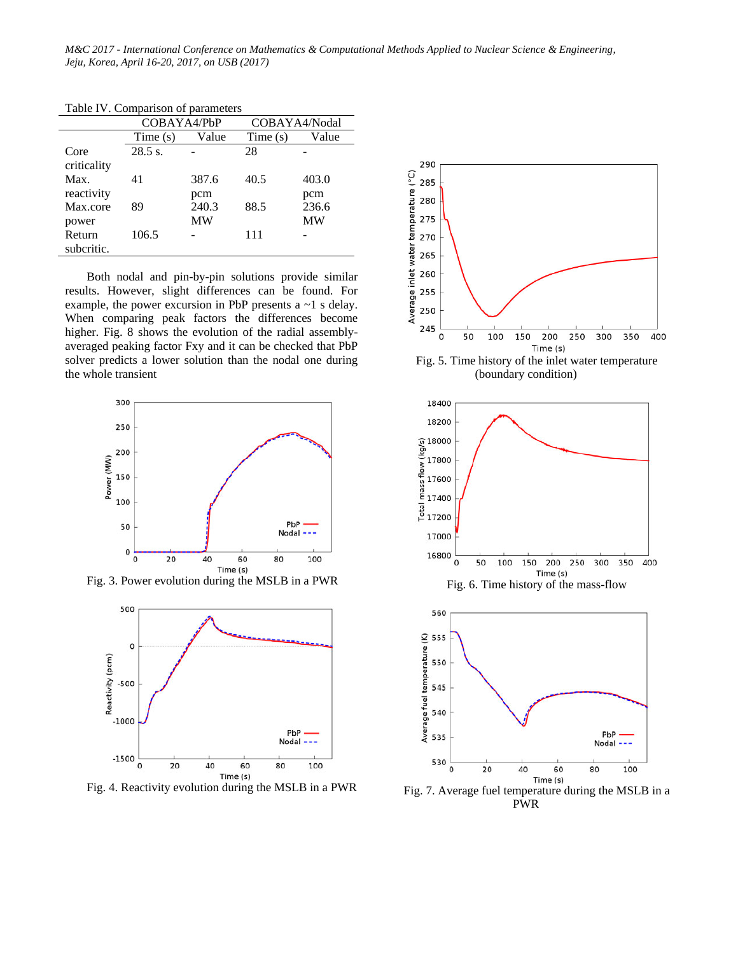*M&C 2017 - International Conference on Mathematics & Computational Methods Applied to Nuclear Science & Engineering, Jeju, Korea, April 16-20, 2017, on USB (2017)* 

|                      | COBAYA4/PbP |                    | COBAYA4/Nodal |                    |  |
|----------------------|-------------|--------------------|---------------|--------------------|--|
|                      | Time $(s)$  | Value              | Time(s)       | Value              |  |
| Core<br>criticality  | 28.5 s.     |                    | 28            |                    |  |
| Max.<br>reactivity   | 41          | 387.6<br>pcm       | 40.5          | 403.0<br>pcm       |  |
| Max.core<br>power    | 89          | 240.3<br><b>MW</b> | 88.5          | 236.6<br><b>MW</b> |  |
| Return<br>subcritic. | 106.5       |                    | 111           |                    |  |

Table IV. Comparison of parameters

Both nodal and pin-by-pin solutions provide similar results. However, slight differences can be found. For example, the power excursion in PbP presents  $a \sim 1$  s delay. When comparing peak factors the differences become higher. Fig. 8 shows the evolution of the radial assemblyaveraged peaking factor Fxy and it can be checked that PbP solver predicts a lower solution than the nodal one during the whole transient



Fig. 3. Power evolution during the MSLB in a PWR



Fig. 4. Reactivity evolution during the MSLB in a PWR



(boundary condition)





Fig. 7. Average fuel temperature during the MSLB in a PWR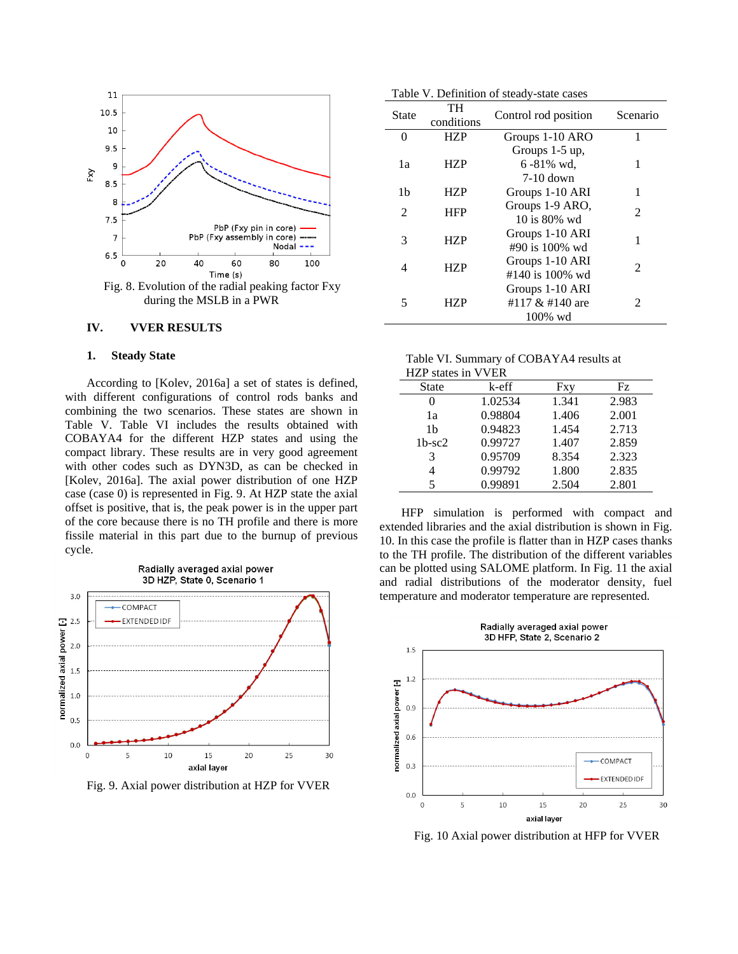

during the MSLB in a PWR

#### **IV. VVER RESULTS**

#### **1. Steady State**

According to [Kolev, 2016a] a set of states is defined, with different configurations of control rods banks and combining the two scenarios. These states are shown in Table V. Table VI includes the results obtained with COBAYA4 for the different HZP states and using the compact library. These results are in very good agreement with other codes such as DYN3D, as can be checked in [Kolev, 2016a]. The axial power distribution of one HZP case (case 0) is represented in Fig. 9. At HZP state the axial offset is positive, that is, the peak power is in the upper part of the core because there is no TH profile and there is more fissile material in this part due to the burnup of previous cycle.



Fig. 9. Axial power distribution at HZP for VVER

|  | Table V. Definition of steady-state cases |  |  |  |
|--|-------------------------------------------|--|--|--|
|--|-------------------------------------------|--|--|--|

| <b>State</b>   | TH<br>conditions | Control rod position                             | Scenario      |
|----------------|------------------|--------------------------------------------------|---------------|
| 0              | <b>HZP</b>       | Groups 1-10 ARO                                  | 1             |
| 1a             | <b>HZP</b>       | Groups 1-5 up,<br>$6 - 81\%$ wd,<br>$7-10$ down  |               |
| 1b             | HZP              | Groups 1-10 ARI                                  | 1             |
| $\mathfrak{D}$ | <b>HFP</b>       | Groups 1-9 ARO,<br>$10$ is $80%$ wd              | $\mathcal{L}$ |
| 3              | HZP              | Groups 1-10 ARI<br>#90 is 100% wd                |               |
| 4              | HZP              | Groups 1-10 ARI<br>#140 is 100% wd               | $\mathcal{L}$ |
| 5              | HZP              | Groups 1-10 ARI<br>#117 & #140 are<br>$100\%$ wd | 2             |

| Table VI. Summary of COBAYA4 results at |
|-----------------------------------------|
| HZP states in VVER                      |

| $1121$ states III $\gamma$ $\gamma$ LIX |         |       |       |
|-----------------------------------------|---------|-------|-------|
| <b>State</b>                            | k-eff   | Fxy   | Fz.   |
|                                         | 1.02534 | 1.341 | 2.983 |
| 1a                                      | 0.98804 | 1.406 | 2.001 |
| 1b                                      | 0.94823 | 1.454 | 2.713 |
| $1b$ -sc $2$                            | 0.99727 | 1.407 | 2.859 |
| 3                                       | 0.95709 | 8.354 | 2.323 |
|                                         | 0.99792 | 1.800 | 2.835 |
| 5                                       | 0.99891 | 2.504 | 2.801 |

HFP simulation is performed with compact and extended libraries and the axial distribution is shown in Fig. 10. In this case the profile is flatter than in HZP cases thanks to the TH profile. The distribution of the different variables can be plotted using SALOME platform. In Fig. 11 the axial and radial distributions of the moderator density, fuel temperature and moderator temperature are represented.



Fig. 10 Axial power distribution at HFP for VVER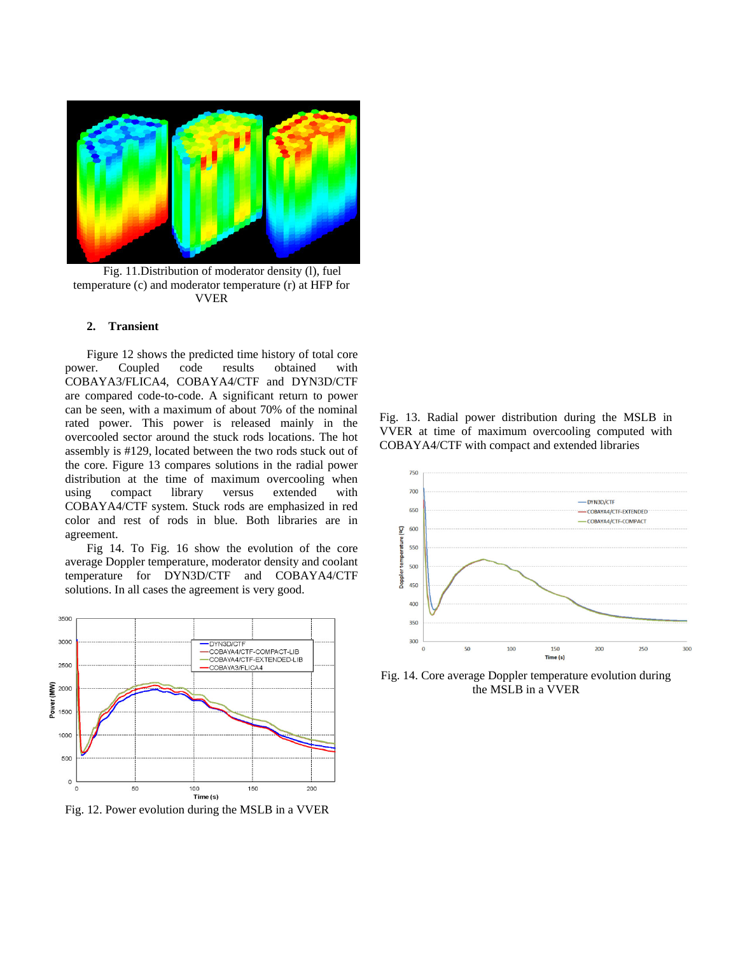

Fig. 11.Distribution of moderator density (l), fuel temperature (c) and moderator temperature (r) at HFP for VVER

#### **2. Transient**

Figure 12 shows the predicted time history of total core power. Coupled code results obtained with COBAYA3/FLICA4, COBAYA4/CTF and DYN3D/CTF are compared code-to-code. A significant return to power can be seen, with a maximum of about 70% of the nominal rated power. This power is released mainly in the overcooled sector around the stuck rods locations. The hot assembly is #129, located between the two rods stuck out of the core. Figure 13 compares solutions in the radial power distribution at the time of maximum overcooling when using compact library versus extended with COBAYA4/CTF system. Stuck rods are emphasized in red color and rest of rods in blue. Both libraries are in agreement.

Fig 14. To Fig. 16 show the evolution of the core average Doppler temperature, moderator density and coolant temperature for DYN3D/CTF and COBAYA4/CTF solutions. In all cases the agreement is very good.



Fig. 12. Power evolution during the MSLB in a VVER

Fig. 13. Radial power distribution during the MSLB in VVER at time of maximum overcooling computed with COBAYA4/CTF with compact and extended libraries



Fig. 14. Core average Doppler temperature evolution during the MSLB in a VVER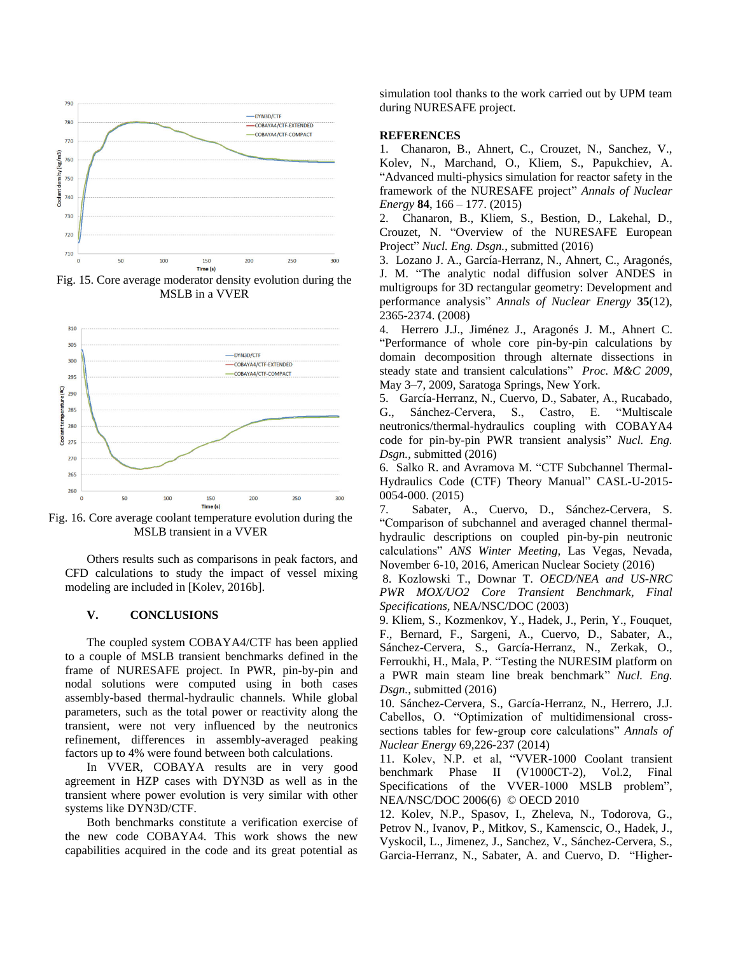

Fig. 15. Core average moderator density evolution during the MSLB in a VVER



Fig. 16. Core average coolant temperature evolution during the MSLB transient in a VVER

Others results such as comparisons in peak factors, and CFD calculations to study the impact of vessel mixing modeling are included in [Kolev, 2016b].

### **V. CONCLUSIONS**

The coupled system COBAYA4/CTF has been applied to a couple of MSLB transient benchmarks defined in the frame of NURESAFE project. In PWR, pin-by-pin and nodal solutions were computed using in both cases assembly-based thermal-hydraulic channels. While global parameters, such as the total power or reactivity along the transient, were not very influenced by the neutronics refinement, differences in assembly-averaged peaking factors up to 4% were found between both calculations.

In VVER, COBAYA results are in very good agreement in HZP cases with DYN3D as well as in the transient where power evolution is very similar with other systems like DYN3D/CTF.

Both benchmarks constitute a verification exercise of the new code COBAYA4. This work shows the new capabilities acquired in the code and its great potential as simulation tool thanks to the work carried out by UPM team during NURESAFE project.

#### **REFERENCES**

1. Chanaron, B., Ahnert, C., Crouzet, N., Sanchez, V., Kolev, N., Marchand, O., Kliem, S., Papukchiev, A. "Advanced multi-physics simulation for reactor safety in the framework of the NURESAFE project" *Annals of Nuclear Energy* **84**, 166 – 177. (2015)

2. Chanaron, B., Kliem, S., Bestion, D., Lakehal, D., Crouzet, N. "Overview of the NURESAFE European Project" *Nucl. Eng. Dsgn.*, submitted (2016)

3. Lozano J. A., García-Herranz, N., Ahnert, C., Aragonés, J. M. "The analytic nodal diffusion solver ANDES in multigroups for 3D rectangular geometry: Development and performance analysis" *Annals of Nuclear Energy* **35**(12), 2365-2374. (2008)

4. Herrero J.J., Jiménez J., Aragonés J. M., Ahnert C. "Performance of whole core pin-by-pin calculations by domain decomposition through alternate dissections in steady state and transient calculations" *Proc. M&C 2009*, May 3–7, 2009, Saratoga Springs, New York.

5. García-Herranz, N., Cuervo, D., Sabater, A., Rucabado, G., Sánchez-Cervera, S., Castro, E. "Multiscale neutronics/thermal-hydraulics coupling with COBAYA4 code for pin-by-pin PWR transient analysis" *Nucl. Eng. Dsgn.*, submitted (2016)

6. Salko R. and Avramova M. "CTF Subchannel Thermal-Hydraulics Code (CTF) Theory Manual" CASL-U-2015- 0054-000. (2015)

7. Sabater, A., Cuervo, D., Sánchez-Cervera, S. "Comparison of subchannel and averaged channel thermalhydraulic descriptions on coupled pin-by-pin neutronic calculations" *ANS Winter Meeting,* Las Vegas, Nevada, November 6-10, 2016, American Nuclear Society (2016)

8. Kozlowski T., Downar T. *OECD/NEA and US-NRC PWR MOX/UO2 Core Transient Benchmark, Final Specifications,* NEA/NSC/DOC (2003)

9. Kliem, S., Kozmenkov, Y., Hadek, J., Perin, Y., Fouquet, F., Bernard, F., Sargeni, A., Cuervo, D., Sabater, A., Sánchez-Cervera, S., García-Herranz, N., Zerkak, O., Ferroukhi, H., Mala, P. "Testing the NURESIM platform on a PWR main steam line break benchmark" *Nucl. Eng. Dsgn.*, submitted (2016)

10. Sánchez-Cervera, S., García-Herranz, N., Herrero, J.J. Cabellos, O. "Optimization of multidimensional crosssections tables for few-group core calculations" *Annals of Nuclear Energy* 69,226-237 (2014)

11. Kolev, N.P. et al, "VVER-1000 Coolant transient benchmark Phase II (V1000CT-2), Vol.2, Final Specifications of the VVER-1000 MSLB problem", NEA/NSC/DOC 2006(6) © OECD 2010

12. Kolev, N.P., Spasov, I., Zheleva, N., Todorova, G., Petrov N., Ivanov, P., Mitkov, S., Kamenscic, O., Hadek, J., Vyskocil, L., Jimenez, J., Sanchez, V., Sánchez-Cervera, S., Garcia-Herranz, N., Sabater, A. and Cuervo, D. "Higher